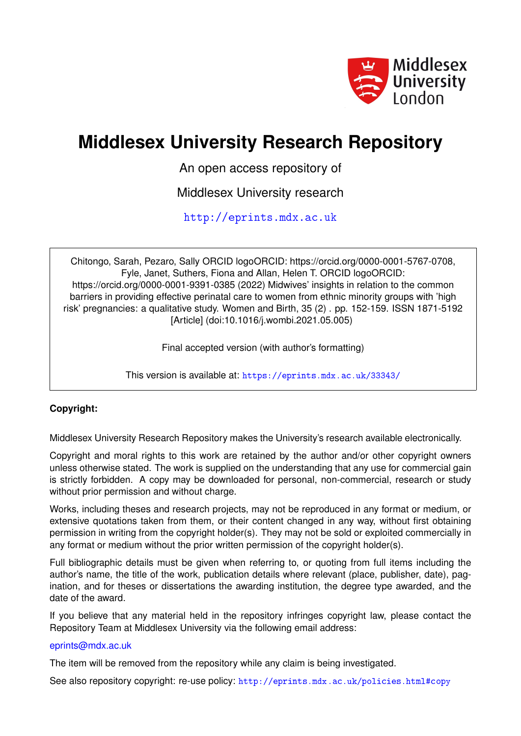

# **Middlesex University Research Repository**

An open access repository of

Middlesex University research

<http://eprints.mdx.ac.uk>

Chitongo, Sarah, Pezaro, Sally ORCID logoORCID: https://orcid.org/0000-0001-5767-0708, Fyle, Janet, Suthers, Fiona and Allan, Helen T. ORCID logoORCID: https://orcid.org/0000-0001-9391-0385 (2022) Midwives' insights in relation to the common barriers in providing effective perinatal care to women from ethnic minority groups with 'high risk' pregnancies: a qualitative study. Women and Birth, 35 (2) . pp. 152-159. ISSN 1871-5192 [Article] (doi:10.1016/j.wombi.2021.05.005)

Final accepted version (with author's formatting)

This version is available at: <https://eprints.mdx.ac.uk/33343/>

## **Copyright:**

Middlesex University Research Repository makes the University's research available electronically.

Copyright and moral rights to this work are retained by the author and/or other copyright owners unless otherwise stated. The work is supplied on the understanding that any use for commercial gain is strictly forbidden. A copy may be downloaded for personal, non-commercial, research or study without prior permission and without charge.

Works, including theses and research projects, may not be reproduced in any format or medium, or extensive quotations taken from them, or their content changed in any way, without first obtaining permission in writing from the copyright holder(s). They may not be sold or exploited commercially in any format or medium without the prior written permission of the copyright holder(s).

Full bibliographic details must be given when referring to, or quoting from full items including the author's name, the title of the work, publication details where relevant (place, publisher, date), pagination, and for theses or dissertations the awarding institution, the degree type awarded, and the date of the award.

If you believe that any material held in the repository infringes copyright law, please contact the Repository Team at Middlesex University via the following email address:

## [eprints@mdx.ac.uk](mailto:eprints@mdx.ac.uk)

The item will be removed from the repository while any claim is being investigated.

See also repository copyright: re-use policy: <http://eprints.mdx.ac.uk/policies.html#copy>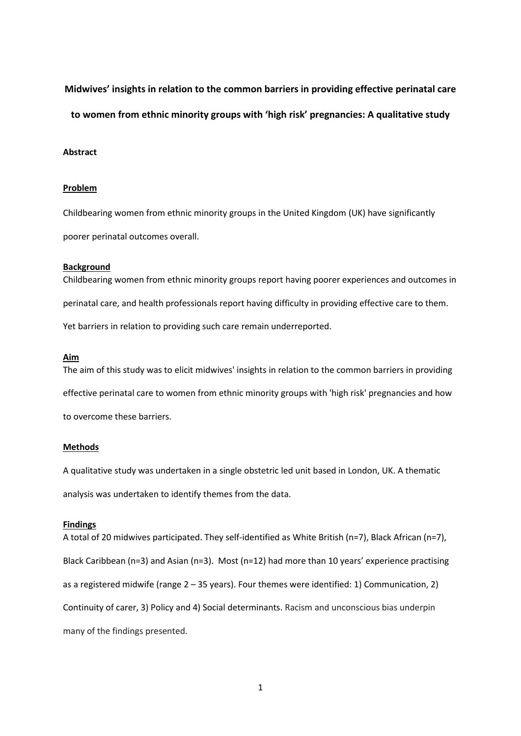**Midwives' insights in relation to the common barriers in providing effective perinatal care** 

**to women from ethnic minority groups with 'high risk' pregnancies: A qualitative study**

## **Abstract**

## **Problem**

Childbearing women from ethnic minority groups in the United Kingdom (UK) have significantly poorer perinatal outcomes overall.

#### **Background**

Childbearing women from ethnic minority groups report having poorer experiences and outcomes in perinatal care, and health professionals report having difficulty in providing effective care to them. Yet barriers in relation to providing such care remain underreported.

#### **Aim**

The aim of this study was to elicit midwives' insights in relation to the common barriers in providing effective perinatal care to women from ethnic minority groups with 'high risk' pregnancies and how to overcome these barriers.

## **Methods**

A qualitative study was undertaken in a single obstetric led unit based in London, UK. A thematic analysis was undertaken to identify themes from the data.

## **Findings**

A total of 20 midwives participated. They self-identified as White British (n=7), Black African (n=7), Black Caribbean (n=3) and Asian (n=3). Most (n=12) had more than 10 years' experience practising as a registered midwife (range 2 – 35 years). Four themes were identified: 1) Communication, 2) Continuity of carer, 3) Policy and 4) Social determinants. Racism and unconscious bias underpin many of the findings presented.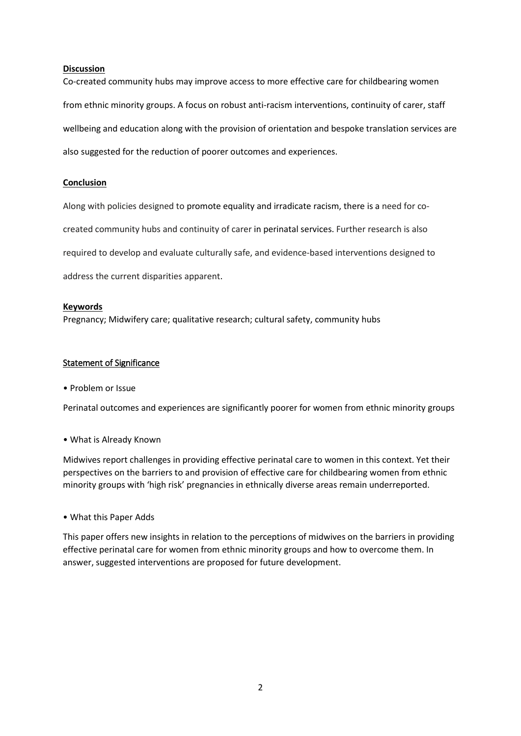## **Discussion**

Co-created community hubs may improve access to more effective care for childbearing women from ethnic minority groups. A focus on robust anti-racism interventions, continuity of carer, staff wellbeing and education along with the provision of orientation and bespoke translation services are also suggested for the reduction of poorer outcomes and experiences.

## **Conclusion**

Along with policies designed to promote equality and irradicate racism, there is a need for cocreated community hubs and continuity of carer in perinatal services. Further research is also required to develop and evaluate culturally safe, and evidence-based interventions designed to address the current disparities apparent.

## **Keywords**

Pregnancy; Midwifery care; qualitative research; cultural safety, community hubs

## Statement of Significance

• Problem or Issue

Perinatal outcomes and experiences are significantly poorer for women from ethnic minority groups

## • What is Already Known

Midwives report challenges in providing effective perinatal care to women in this context. Yet their perspectives on the barriers to and provision of effective care for childbearing women from ethnic minority groups with 'high risk' pregnancies in ethnically diverse areas remain underreported.

## • What this Paper Adds

This paper offers new insights in relation to the perceptions of midwives on the barriers in providing effective perinatal care for women from ethnic minority groups and how to overcome them. In answer, suggested interventions are proposed for future development.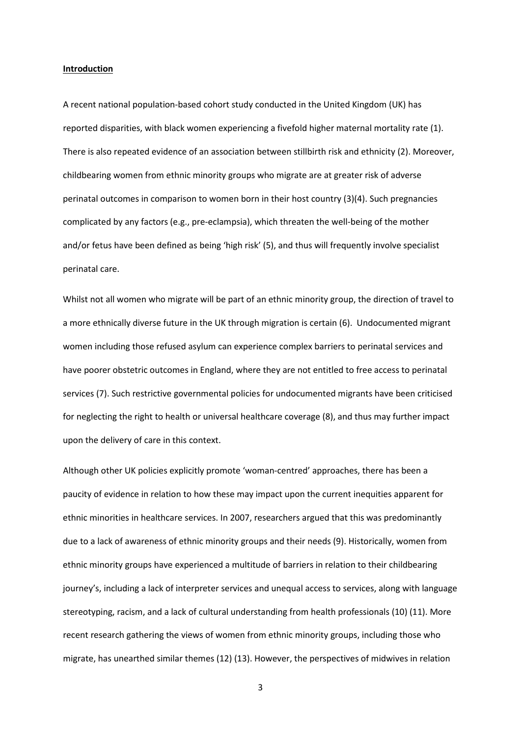#### **Introduction**

A recent national population-based cohort study conducted in the United Kingdom (UK) has reported disparities, with black women experiencing a fivefold higher maternal mortality rate (1). There is also repeated evidence of an association between stillbirth risk and ethnicity (2). Moreover, childbearing women from ethnic minority groups who migrate are at greater risk of adverse perinatal outcomes in comparison to women born in their host country (3)(4). Such pregnancies complicated by any factors (e.g., pre-eclampsia), which threaten the well-being of the mother and/or fetus have been defined as being 'high risk' (5), and thus will frequently involve specialist perinatal care.

Whilst not all women who migrate will be part of an ethnic minority group, the direction of travel to a more ethnically diverse future in the UK through migration is certain (6). Undocumented migrant women including those refused asylum can experience complex barriers to perinatal services and have poorer obstetric outcomes in England, where they are not entitled to free access to perinatal services (7). Such restrictive governmental policies for undocumented migrants have been criticised for neglecting the right to health or universal healthcare coverage (8), and thus may further impact upon the delivery of care in this context.

Although other UK policies explicitly promote 'woman-centred' approaches, there has been a paucity of evidence in relation to how these may impact upon the current inequities apparent for ethnic minorities in healthcare services. In 2007, researchers argued that this was predominantly due to a lack of awareness of ethnic minority groups and their needs (9). Historically, women from ethnic minority groups have experienced a multitude of barriers in relation to their childbearing journey's, including a lack of interpreter services and unequal access to services, along with language stereotyping, racism, and a lack of cultural understanding from health professionals (10) (11). More recent research gathering the views of women from ethnic minority groups, including those who migrate, has unearthed similar themes (12) (13). However, the perspectives of midwives in relation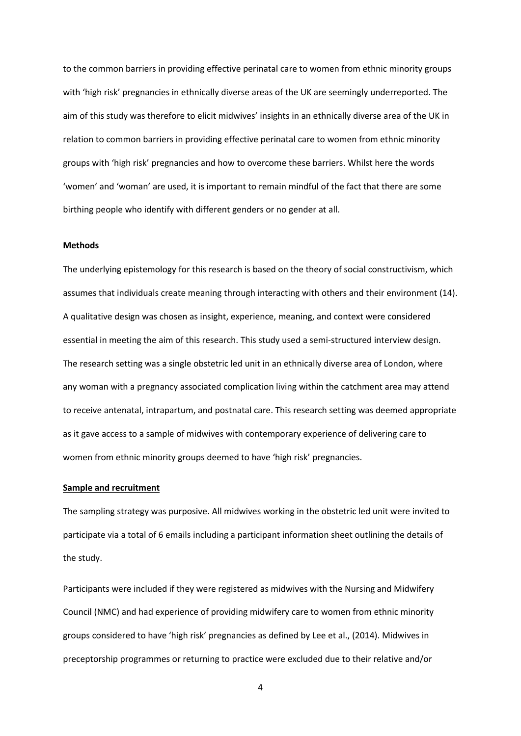to the common barriers in providing effective perinatal care to women from ethnic minority groups with 'high risk' pregnancies in ethnically diverse areas of the UK are seemingly underreported. The aim of this study was therefore to elicit midwives' insights in an ethnically diverse area of the UK in relation to common barriers in providing effective perinatal care to women from ethnic minority groups with 'high risk' pregnancies and how to overcome these barriers. Whilst here the words 'women' and 'woman' are used, it is important to remain mindful of the fact that there are some birthing people who identify with different genders or no gender at all.

#### **Methods**

The underlying epistemology for this research is based on the theory of social constructivism, which assumes that individuals create meaning through interacting with others and their environment (14). A qualitative design was chosen as insight, experience, meaning, and context were considered essential in meeting the aim of this research. This study used a semi-structured interview design. The research setting was a single obstetric led unit in an ethnically diverse area of London, where any woman with a pregnancy associated complication living within the catchment area may attend to receive antenatal, intrapartum, and postnatal care. This research setting was deemed appropriate as it gave access to a sample of midwives with contemporary experience of delivering care to women from ethnic minority groups deemed to have 'high risk' pregnancies.

#### **Sample and recruitment**

The sampling strategy was purposive. All midwives working in the obstetric led unit were invited to participate via a total of 6 emails including a participant information sheet outlining the details of the study.

Participants were included if they were registered as midwives with the Nursing and Midwifery Council (NMC) and had experience of providing midwifery care to women from ethnic minority groups considered to have 'high risk' pregnancies as defined by Lee et al., (2014). Midwives in preceptorship programmes or returning to practice were excluded due to their relative and/or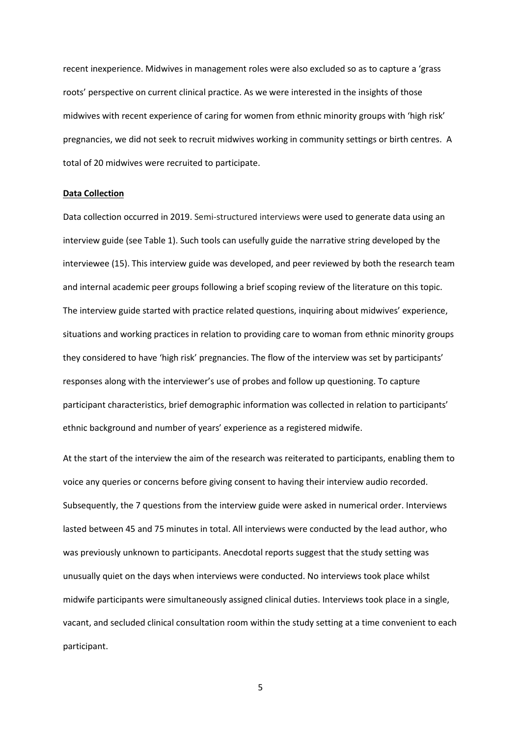recent inexperience. Midwives in management roles were also excluded so as to capture a 'grass roots' perspective on current clinical practice. As we were interested in the insights of those midwives with recent experience of caring for women from ethnic minority groups with 'high risk' pregnancies, we did not seek to recruit midwives working in community settings or birth centres. A total of 20 midwives were recruited to participate.

#### **Data Collection**

Data collection occurred in 2019. Semi-structured interviews were used to generate data using an interview guide (see Table 1). Such tools can usefully guide the narrative string developed by the interviewee (15). This interview guide was developed, and peer reviewed by both the research team and internal academic peer groups following a brief scoping review of the literature on this topic. The interview guide started with practice related questions, inquiring about midwives' experience, situations and working practices in relation to providing care to woman from ethnic minority groups they considered to have 'high risk' pregnancies. The flow of the interview was set by participants' responses along with the interviewer's use of probes and follow up questioning. To capture participant characteristics, brief demographic information was collected in relation to participants' ethnic background and number of years' experience as a registered midwife.

At the start of the interview the aim of the research was reiterated to participants, enabling them to voice any queries or concerns before giving consent to having their interview audio recorded. Subsequently, the 7 questions from the interview guide were asked in numerical order. Interviews lasted between 45 and 75 minutes in total. All interviews were conducted by the lead author, who was previously unknown to participants. Anecdotal reports suggest that the study setting was unusually quiet on the days when interviews were conducted. No interviews took place whilst midwife participants were simultaneously assigned clinical duties. Interviews took place in a single, vacant, and secluded clinical consultation room within the study setting at a time convenient to each participant.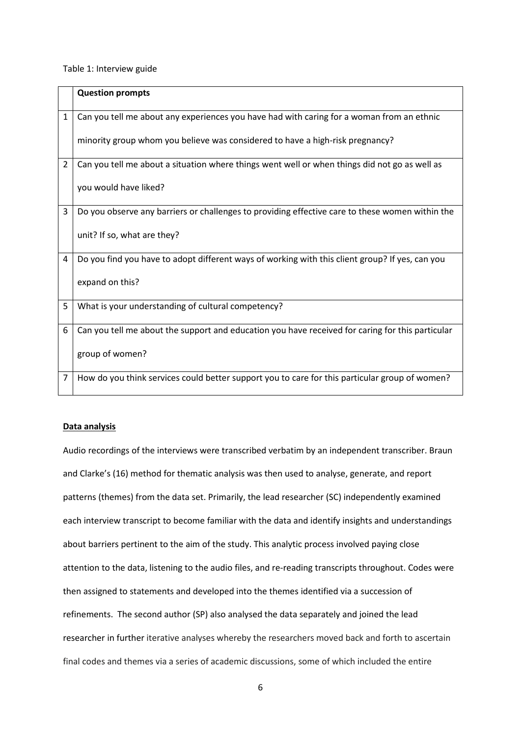#### Table 1: Interview guide

|                | <b>Question prompts</b>                                                                          |
|----------------|--------------------------------------------------------------------------------------------------|
| 1              | Can you tell me about any experiences you have had with caring for a woman from an ethnic        |
|                | minority group whom you believe was considered to have a high-risk pregnancy?                    |
| $\overline{2}$ | Can you tell me about a situation where things went well or when things did not go as well as    |
|                | you would have liked?                                                                            |
| 3              | Do you observe any barriers or challenges to providing effective care to these women within the  |
|                | unit? If so, what are they?                                                                      |
| 4              | Do you find you have to adopt different ways of working with this client group? If yes, can you  |
|                | expand on this?                                                                                  |
| 5              | What is your understanding of cultural competency?                                               |
| 6              | Can you tell me about the support and education you have received for caring for this particular |
|                | group of women?                                                                                  |
| $\overline{7}$ | How do you think services could better support you to care for this particular group of women?   |

#### **Data analysis**

Audio recordings of the interviews were transcribed verbatim by an independent transcriber. Braun and Clarke's (16) method for thematic analysis was then used to analyse, generate, and report patterns (themes) from the data set. Primarily, the lead researcher (SC) independently examined each interview transcript to become familiar with the data and identify insights and understandings about barriers pertinent to the aim of the study. This analytic process involved paying close attention to the data, listening to the audio files, and re-reading transcripts throughout. Codes were then assigned to statements and developed into the themes identified via a succession of refinements. The second author (SP) also analysed the data separately and joined the lead researcher in further iterative analyses whereby the researchers moved back and forth to ascertain final codes and themes via a series of academic discussions, some of which included the entire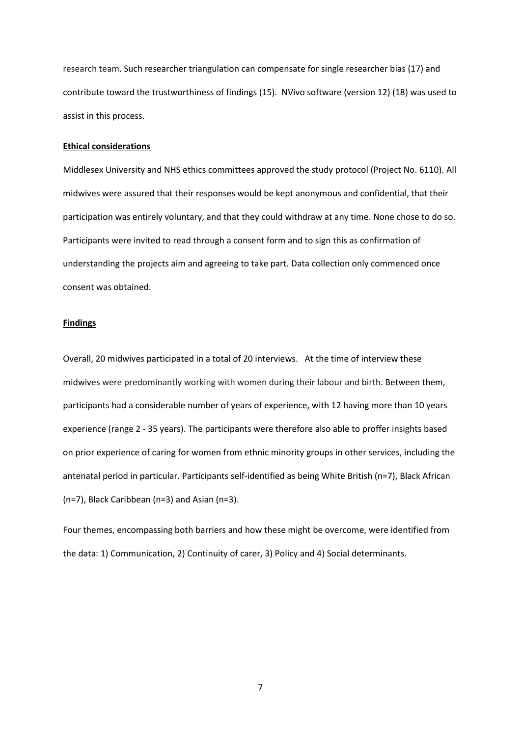research team. Such researcher triangulation can compensate for single researcher bias (17) and contribute toward the trustworthiness of findings (15). NVivo software (version 12) (18) was used to assist in this process.

#### **Ethical considerations**

Middlesex University and NHS ethics committees approved the study protocol (Project No. 6110). All midwives were assured that their responses would be kept anonymous and confidential, that their participation was entirely voluntary, and that they could withdraw at any time. None chose to do so. Participants were invited to read through a consent form and to sign this as confirmation of understanding the projects aim and agreeing to take part. Data collection only commenced once consent was obtained.

## **Findings**

Overall, 20 midwives participated in a total of 20 interviews. At the time of interview these midwives were predominantly working with women during their labour and birth. Between them, participants had a considerable number of years of experience, with 12 having more than 10 years experience (range 2 - 35 years). The participants were therefore also able to proffer insights based on prior experience of caring for women from ethnic minority groups in other services, including the antenatal period in particular. Participants self-identified as being White British (n=7), Black African (n=7), Black Caribbean (n=3) and Asian (n=3).

Four themes, encompassing both barriers and how these might be overcome, were identified from the data: 1) Communication, 2) Continuity of carer, 3) Policy and 4) Social determinants.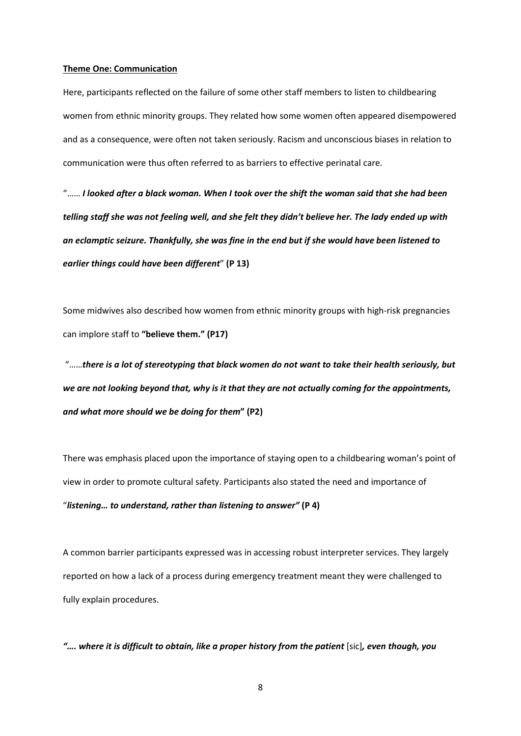#### **Theme One: Communication**

Here, participants reflected on the failure of some other staff members to listen to childbearing women from ethnic minority groups. They related how some women often appeared disempowered and as a consequence, were often not taken seriously. Racism and unconscious biases in relation to communication were thus often referred to as barriers to effective perinatal care.

"…… *I looked after a black woman. When I took over the shift the woman said that she had been telling staff she was not feeling well, and she felt they didn't believe her. The lady ended up with an eclamptic seizure. Thankfully, she was fine in the end but if she would have been listened to earlier things could have been different*" **(P 13)**

Some midwives also described how women from ethnic minority groups with high-risk pregnancies can implore staff to **"believe them." (P17)**

"……*there is a lot of stereotyping that black women do not want to take their health seriously, but we are not looking beyond that, why is it that they are not actually coming for the appointments, and what more should we be doing for them***" (P2)**

There was emphasis placed upon the importance of staying open to a childbearing woman's point of view in order to promote cultural safety. Participants also stated the need and importance of "*listening… to understand, rather than listening to answer"* **(P 4)**

A common barrier participants expressed was in accessing robust interpreter services. They largely reported on how a lack of a process during emergency treatment meant they were challenged to fully explain procedures.

*"…. where it is difficult to obtain, like a proper history from the patient* [sic]*, even though, you*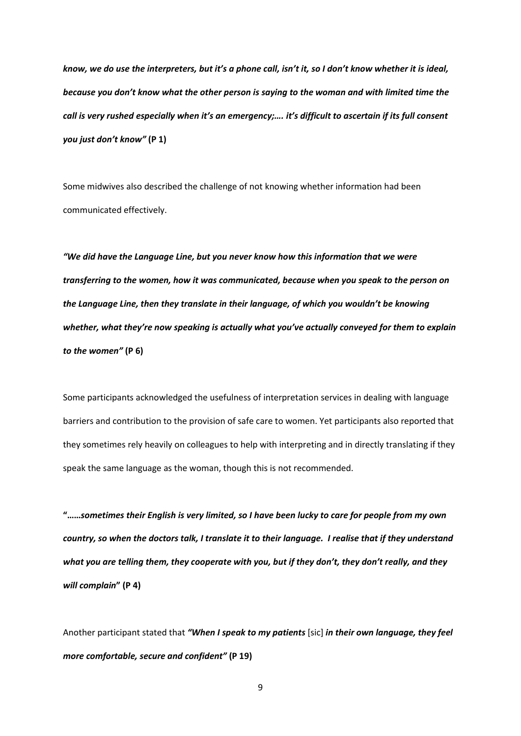*know, we do use the interpreters, but it's a phone call, isn't it, so I don't know whether it is ideal, because you don't know what the other person is saying to the woman and with limited time the call is very rushed especially when it's an emergency;…. it's difficult to ascertain if its full consent you just don't know"* **(P 1)**

Some midwives also described the challenge of not knowing whether information had been communicated effectively.

*"We did have the Language Line, but you never know how this information that we were transferring to the women, how it was communicated, because when you speak to the person on the Language Line, then they translate in their language, of which you wouldn't be knowing whether, what they're now speaking is actually what you've actually conveyed for them to explain to the women"* **(P 6)**

Some participants acknowledged the usefulness of interpretation services in dealing with language barriers and contribution to the provision of safe care to women. Yet participants also reported that they sometimes rely heavily on colleagues to help with interpreting and in directly translating if they speak the same language as the woman, though this is not recommended.

**"……***sometimes their English is very limited, so I have been lucky to care for people from my own country, so when the doctors talk, I translate it to their language. I realise that if they understand what you are telling them, they cooperate with you, but if they don't, they don't really, and they will complain***" (P 4)**

Another participant stated that *"When I speak to my patients* [sic] *in their own language, they feel more comfortable, secure and confident"* **(P 19)**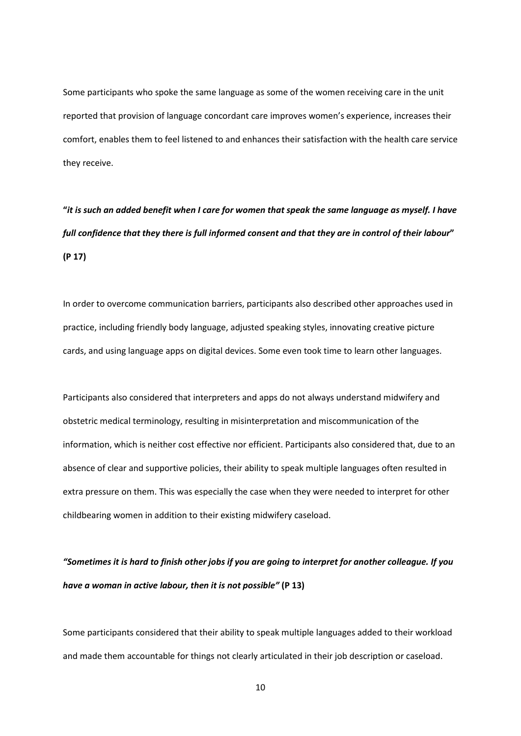Some participants who spoke the same language as some of the women receiving care in the unit reported that provision of language concordant care improves women's experience, increases their comfort, enables them to feel listened to and enhances their satisfaction with the health care service they receive.

**"***it is such an added benefit when I care for women that speak the same language as myself. I have full confidence that they there is full informed consent and that they are in control of their labour***" (P 17)**

In order to overcome communication barriers, participants also described other approaches used in practice, including friendly body language, adjusted speaking styles, innovating creative picture cards, and using language apps on digital devices. Some even took time to learn other languages.

Participants also considered that interpreters and apps do not always understand midwifery and obstetric medical terminology, resulting in misinterpretation and miscommunication of the information, which is neither cost effective nor efficient. Participants also considered that, due to an absence of clear and supportive policies, their ability to speak multiple languages often resulted in extra pressure on them. This was especially the case when they were needed to interpret for other childbearing women in addition to their existing midwifery caseload.

*"Sometimes it is hard to finish other jobs if you are going to interpret for another colleague. If you have a woman in active labour, then it is not possible"* **(P 13)**

Some participants considered that their ability to speak multiple languages added to their workload and made them accountable for things not clearly articulated in their job description or caseload.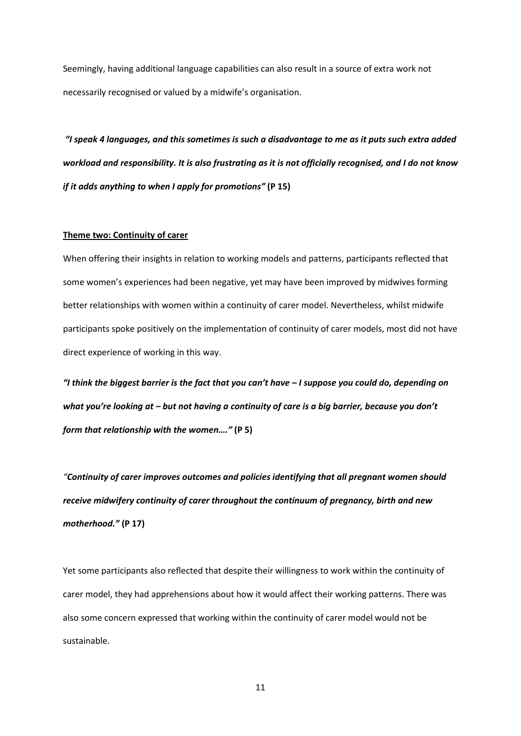Seemingly, having additional language capabilities can also result in a source of extra work not necessarily recognised or valued by a midwife's organisation.

*"I speak 4 languages, and this sometimes is such a disadvantage to me as it puts such extra added workload and responsibility. It is also frustrating as it is not officially recognised, and I do not know if it adds anything to when I apply for promotions"* **(P 15)**

#### **Theme two: Continuity of carer**

When offering their insights in relation to working models and patterns, participants reflected that some women's experiences had been negative, yet may have been improved by midwives forming better relationships with women within a continuity of carer model. Nevertheless, whilst midwife participants spoke positively on the implementation of continuity of carer models, most did not have direct experience of working in this way.

*"I think the biggest barrier is the fact that you can't have – I suppose you could do, depending on what you're looking at – but not having a continuity of care is a big barrier, because you don't form that relationship with the women…."* **(P 5)**

*"Continuity of carer improves outcomes and policies identifying that all pregnant women should receive midwifery continuity of carer throughout the continuum of pregnancy, birth and new motherhood."* **(P 17)**

Yet some participants also reflected that despite their willingness to work within the continuity of carer model, they had apprehensions about how it would affect their working patterns. There was also some concern expressed that working within the continuity of carer model would not be sustainable.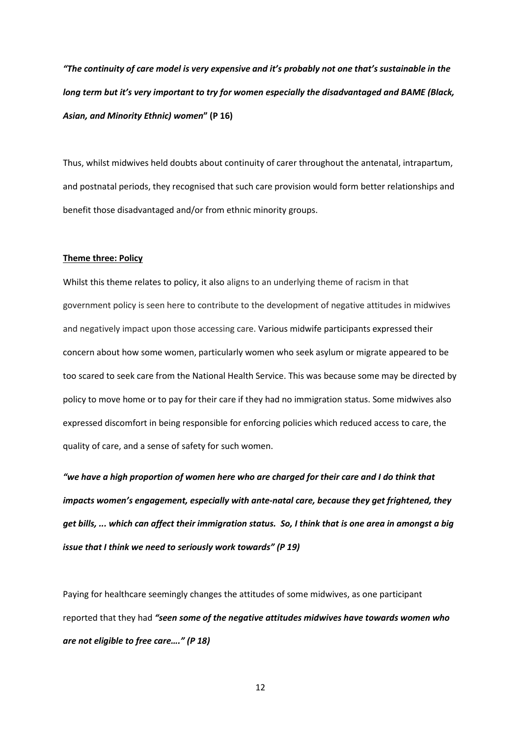*"The continuity of care model is very expensive and it's probably not one that's sustainable in the long term but it's very important to try for women especially the disadvantaged and BAME (Black, Asian, and Minority Ethnic) women***" (P 16)**

Thus, whilst midwives held doubts about continuity of carer throughout the antenatal, intrapartum, and postnatal periods, they recognised that such care provision would form better relationships and benefit those disadvantaged and/or from ethnic minority groups.

#### **Theme three: Policy**

Whilst this theme relates to policy, it also aligns to an underlying theme of racism in that government policy is seen here to contribute to the development of negative attitudes in midwives and negatively impact upon those accessing care. Various midwife participants expressed their concern about how some women, particularly women who seek asylum or migrate appeared to be too scared to seek care from the National Health Service. This was because some may be directed by policy to move home or to pay for their care if they had no immigration status. Some midwives also expressed discomfort in being responsible for enforcing policies which reduced access to care, the quality of care, and a sense of safety for such women.

*"we have a high proportion of women here who are charged for their care and I do think that impacts women's engagement, especially with ante-natal care, because they get frightened, they get bills, ... which can affect their immigration status. So, I think that is one area in amongst a big issue that I think we need to seriously work towards" (P 19)*

Paying for healthcare seemingly changes the attitudes of some midwives, as one participant reported that they had *"seen some of the negative attitudes midwives have towards women who are not eligible to free care…." (P 18)*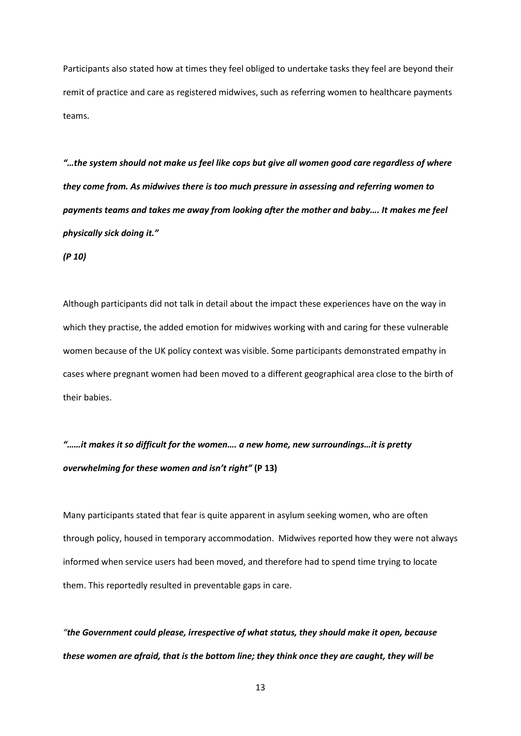Participants also stated how at times they feel obliged to undertake tasks they feel are beyond their remit of practice and care as registered midwives, such as referring women to healthcare payments teams.

*"…the system should not make us feel like cops but give all women good care regardless of where they come from. As midwives there is too much pressure in assessing and referring women to payments teams and takes me away from looking after the mother and baby…. It makes me feel physically sick doing it."*

*(P 10)*

Although participants did not talk in detail about the impact these experiences have on the way in which they practise, the added emotion for midwives working with and caring for these vulnerable women because of the UK policy context was visible. Some participants demonstrated empathy in cases where pregnant women had been moved to a different geographical area close to the birth of their babies.

## *"……it makes it so difficult for the women…. a new home, new surroundings…it is pretty overwhelming for these women and isn't right"* **(P 13)**

Many participants stated that fear is quite apparent in asylum seeking women, who are often through policy, housed in temporary accommodation. Midwives reported how they were not always informed when service users had been moved, and therefore had to spend time trying to locate them. This reportedly resulted in preventable gaps in care.

*"the Government could please, irrespective of what status, they should make it open, because these women are afraid, that is the bottom line; they think once they are caught, they will be*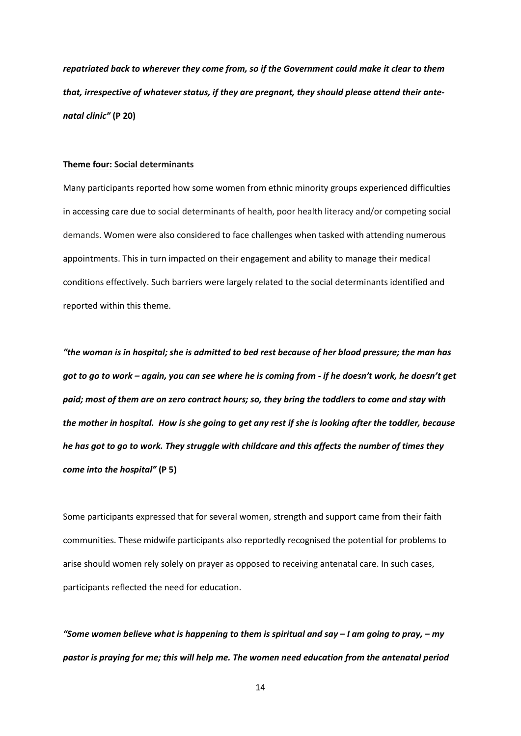*repatriated back to wherever they come from, so if the Government could make it clear to them that, irrespective of whatever status, if they are pregnant, they should please attend their antenatal clinic"* **(P 20)**

#### **Theme four: Social determinants**

Many participants reported how some women from ethnic minority groups experienced difficulties in accessing care due to social determinants of health, poor health literacy and/or competing social demands. Women were also considered to face challenges when tasked with attending numerous appointments. This in turn impacted on their engagement and ability to manage their medical conditions effectively. Such barriers were largely related to the social determinants identified and reported within this theme.

*"the woman is in hospital; she is admitted to bed rest because of her blood pressure; the man has got to go to work – again, you can see where he is coming from - if he doesn't work, he doesn't get paid; most of them are on zero contract hours; so, they bring the toddlers to come and stay with the mother in hospital. How is she going to get any rest if she is looking after the toddler, because he has got to go to work. They struggle with childcare and this affects the number of times they come into the hospital"* **(P 5)**

Some participants expressed that for several women, strength and support came from their faith communities. These midwife participants also reportedly recognised the potential for problems to arise should women rely solely on prayer as opposed to receiving antenatal care. In such cases, participants reflected the need for education.

*"Some women believe what is happening to them is spiritual and say – I am going to pray, – my pastor is praying for me; this will help me. The women need education from the antenatal period*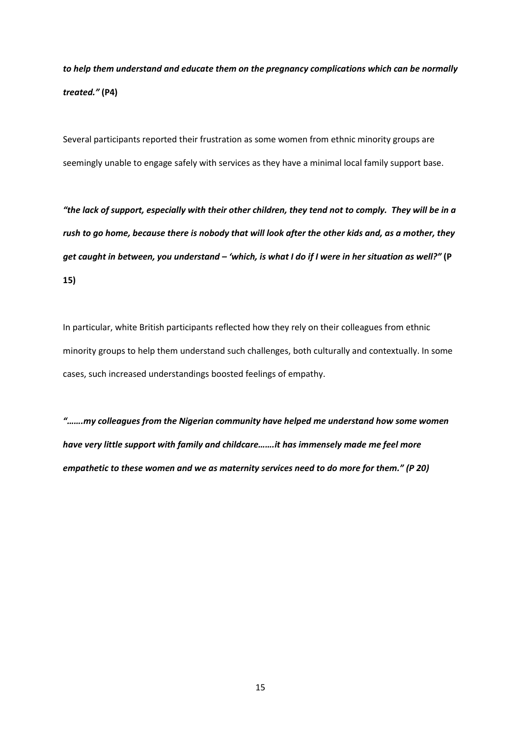*to help them understand and educate them on the pregnancy complications which can be normally treated."* **(P4)**

Several participants reported their frustration as some women from ethnic minority groups are seemingly unable to engage safely with services as they have a minimal local family support base.

*"the lack of support, especially with their other children, they tend not to comply. They will be in a rush to go home, because there is nobody that will look after the other kids and, as a mother, they get caught in between, you understand – 'which, is what I do if I were in her situation as well?"* **(P 15)**

In particular, white British participants reflected how they rely on their colleagues from ethnic minority groups to help them understand such challenges, both culturally and contextually. In some cases, such increased understandings boosted feelings of empathy.

*"…….my colleagues from the Nigerian community have helped me understand how some women have very little support with family and childcare…….it has immensely made me feel more empathetic to these women and we as maternity services need to do more for them." (P 20)*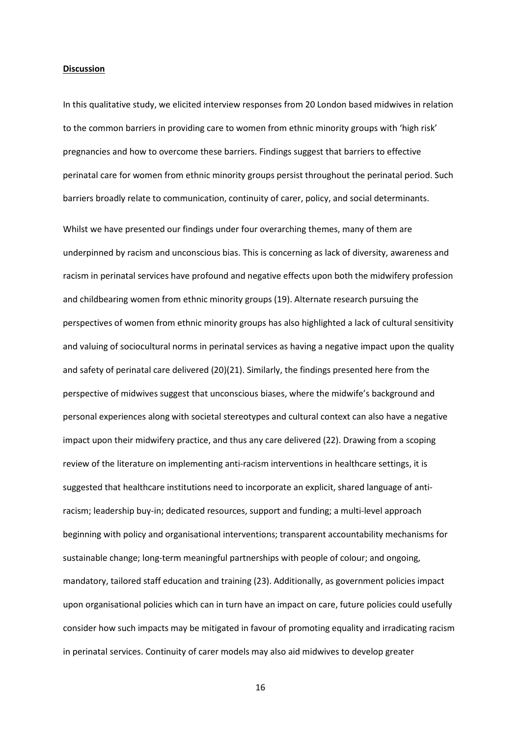#### **Discussion**

In this qualitative study, we elicited interview responses from 20 London based midwives in relation to the common barriers in providing care to women from ethnic minority groups with 'high risk' pregnancies and how to overcome these barriers. Findings suggest that barriers to effective perinatal care for women from ethnic minority groups persist throughout the perinatal period. Such barriers broadly relate to communication, continuity of carer, policy, and social determinants.

Whilst we have presented our findings under four overarching themes, many of them are underpinned by racism and unconscious bias. This is concerning as lack of diversity, awareness and racism in perinatal services have profound and negative effects upon both the midwifery profession and childbearing women from ethnic minority groups (19). Alternate research pursuing the perspectives of women from ethnic minority groups has also highlighted a lack of cultural sensitivity and valuing of sociocultural norms in perinatal services as having a negative impact upon the quality and safety of perinatal care delivered (20)(21). Similarly, the findings presented here from the perspective of midwives suggest that unconscious biases, where the midwife's background and personal experiences along with societal stereotypes and cultural context can also have a negative impact upon their midwifery practice, and thus any care delivered (22). Drawing from a scoping review of the literature on implementing anti-racism interventions in healthcare settings, it is suggested that healthcare institutions need to incorporate an explicit, shared language of antiracism; leadership buy-in; dedicated resources, support and funding; a multi-level approach beginning with policy and organisational interventions; transparent accountability mechanisms for sustainable change; long-term meaningful partnerships with people of colour; and ongoing, mandatory, tailored staff education and training (23). Additionally, as government policies impact upon organisational policies which can in turn have an impact on care, future policies could usefully consider how such impacts may be mitigated in favour of promoting equality and irradicating racism in perinatal services. Continuity of carer models may also aid midwives to develop greater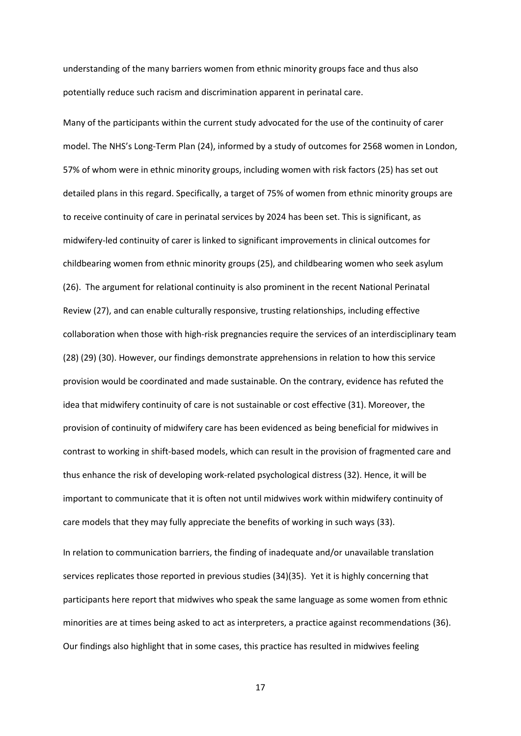understanding of the many barriers women from ethnic minority groups face and thus also potentially reduce such racism and discrimination apparent in perinatal care.

Many of the participants within the current study advocated for the use of the continuity of carer model. The NHS's Long-Term Plan (24), informed by a study of outcomes for 2568 women in London, 57% of whom were in ethnic minority groups, including women with risk factors (25) has set out detailed plans in this regard. Specifically, a target of 75% of women from ethnic minority groups are to receive continuity of care in perinatal services by 2024 has been set. This is significant, as midwifery-led continuity of carer is linked to significant improvements in clinical outcomes for childbearing women from ethnic minority groups (25), and childbearing women who seek asylum (26). The argument for relational continuity is also prominent in the recent National Perinatal Review (27), and can enable culturally responsive, trusting relationships, including effective collaboration when those with high-risk pregnancies require the services of an interdisciplinary team (28) (29) (30). However, our findings demonstrate apprehensions in relation to how this service provision would be coordinated and made sustainable. On the contrary, evidence has refuted the idea that midwifery continuity of care is not sustainable or cost effective (31). Moreover, the provision of continuity of midwifery care has been evidenced as being beneficial for midwives in contrast to working in shift-based models, which can result in the provision of fragmented care and thus enhance the risk of developing work-related psychological distress (32). Hence, it will be important to communicate that it is often not until midwives work within midwifery continuity of care models that they may fully appreciate the benefits of working in such ways (33).

In relation to communication barriers, the finding of inadequate and/or unavailable translation services replicates those reported in previous studies (34)(35). Yet it is highly concerning that participants here report that midwives who speak the same language as some women from ethnic minorities are at times being asked to act as interpreters, a practice against recommendations (36). Our findings also highlight that in some cases, this practice has resulted in midwives feeling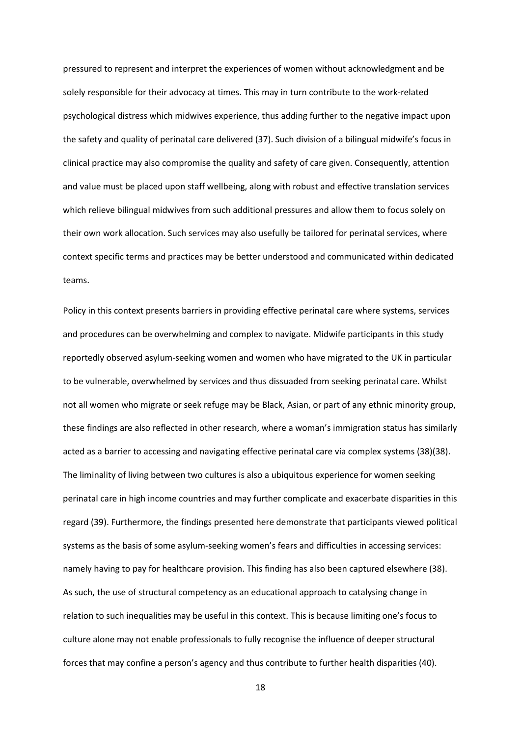pressured to represent and interpret the experiences of women without acknowledgment and be solely responsible for their advocacy at times. This may in turn contribute to the work-related psychological distress which midwives experience, thus adding further to the negative impact upon the safety and quality of perinatal care delivered (37). Such division of a bilingual midwife's focus in clinical practice may also compromise the quality and safety of care given. Consequently, attention and value must be placed upon staff wellbeing, along with robust and effective translation services which relieve bilingual midwives from such additional pressures and allow them to focus solely on their own work allocation. Such services may also usefully be tailored for perinatal services, where context specific terms and practices may be better understood and communicated within dedicated teams.

Policy in this context presents barriers in providing effective perinatal care where systems, services and procedures can be overwhelming and complex to navigate. Midwife participants in this study reportedly observed asylum-seeking women and women who have migrated to the UK in particular to be vulnerable, overwhelmed by services and thus dissuaded from seeking perinatal care. Whilst not all women who migrate or seek refuge may be Black, Asian, or part of any ethnic minority group, these findings are also reflected in other research, where a woman's immigration status has similarly acted as a barrier to accessing and navigating effective perinatal care via complex systems (38)(38). The liminality of living between two cultures is also a ubiquitous experience for women seeking perinatal care in high income countries and may further complicate and exacerbate disparities in this regard (39). Furthermore, the findings presented here demonstrate that participants viewed political systems as the basis of some asylum-seeking women's fears and difficulties in accessing services: namely having to pay for healthcare provision. This finding has also been captured elsewhere (38). As such, the use of structural competency as an educational approach to catalysing change in relation to such inequalities may be useful in this context. This is because limiting one's focus to culture alone may not enable professionals to fully recognise the influence of deeper structural forces that may confine a person's agency and thus contribute to further health disparities (40).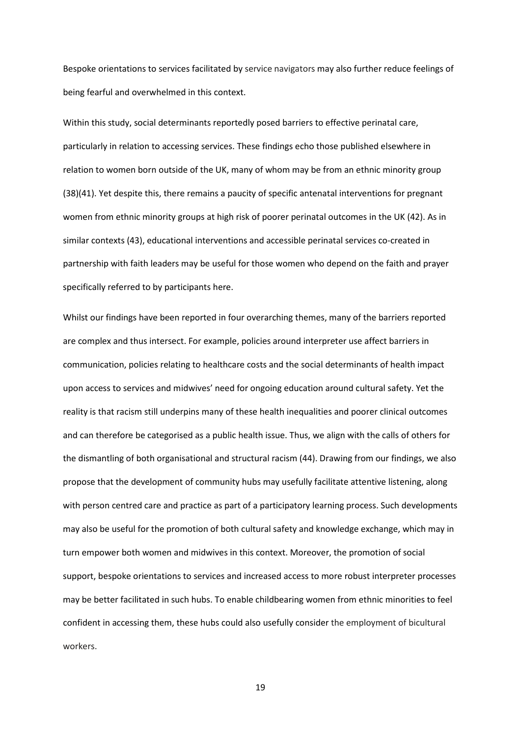Bespoke orientations to services facilitated by service navigators may also further reduce feelings of being fearful and overwhelmed in this context.

Within this study, social determinants reportedly posed barriers to effective perinatal care, particularly in relation to accessing services. These findings echo those published elsewhere in relation to women born outside of the UK, many of whom may be from an ethnic minority group (38)(41). Yet despite this, there remains a paucity of specific antenatal interventions for pregnant women from ethnic minority groups at high risk of poorer perinatal outcomes in the UK (42). As in similar contexts (43), educational interventions and accessible perinatal services co-created in partnership with faith leaders may be useful for those women who depend on the faith and prayer specifically referred to by participants here.

Whilst our findings have been reported in four overarching themes, many of the barriers reported are complex and thus intersect. For example, policies around interpreter use affect barriers in communication, policies relating to healthcare costs and the social determinants of health impact upon access to services and midwives' need for ongoing education around cultural safety. Yet the reality is that racism still underpins many of these health inequalities and poorer clinical outcomes and can therefore be categorised as a public health issue. Thus, we align with the calls of others for the dismantling of both organisational and structural racism (44). Drawing from our findings, we also propose that the development of community hubs may usefully facilitate attentive listening, along with person centred care and practice as part of a participatory learning process. Such developments may also be useful for the promotion of both cultural safety and knowledge exchange, which may in turn empower both women and midwives in this context. Moreover, the promotion of social support, bespoke orientations to services and increased access to more robust interpreter processes may be better facilitated in such hubs. To enable childbearing women from ethnic minorities to feel confident in accessing them, these hubs could also usefully consider the employment of bicultural workers.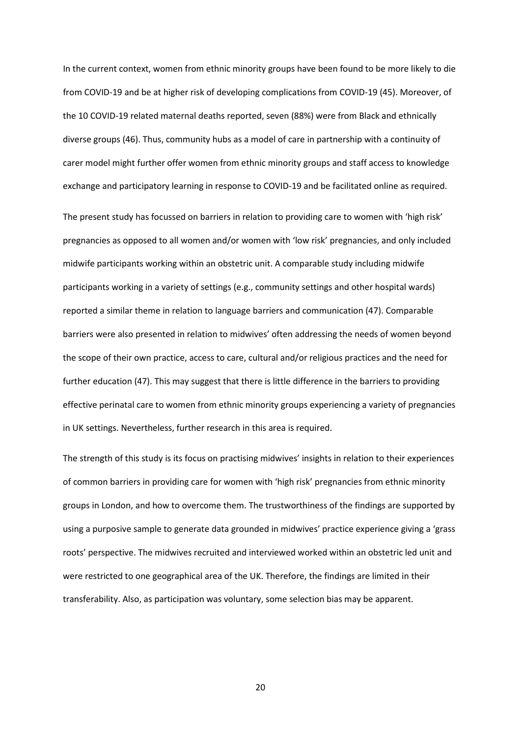In the current context, women from ethnic minority groups have been found to be more likely to die from COVID-19 and be at higher risk of developing complications from COVID-19 (45). Moreover, of the 10 COVID-19 related maternal deaths reported, seven (88%) were from Black and ethnically diverse groups (46). Thus, community hubs as a model of care in partnership with a continuity of carer model might further offer women from ethnic minority groups and staff access to knowledge exchange and participatory learning in response to COVID-19 and be facilitated online as required.

The present study has focussed on barriers in relation to providing care to women with 'high risk' pregnancies as opposed to all women and/or women with 'low risk' pregnancies, and only included midwife participants working within an obstetric unit. A comparable study including midwife participants working in a variety of settings (e.g., community settings and other hospital wards) reported a similar theme in relation to language barriers and communication (47). Comparable barriers were also presented in relation to midwives' often addressing the needs of women beyond the scope of their own practice, access to care, cultural and/or religious practices and the need for further education (47). This may suggest that there is little difference in the barriers to providing effective perinatal care to women from ethnic minority groups experiencing a variety of pregnancies in UK settings. Nevertheless, further research in this area is required.

The strength of this study is its focus on practising midwives' insights in relation to their experiences of common barriers in providing care for women with 'high risk' pregnancies from ethnic minority groups in London, and how to overcome them. The trustworthiness of the findings are supported by using a purposive sample to generate data grounded in midwives' practice experience giving a 'grass roots' perspective. The midwives recruited and interviewed worked within an obstetric led unit and were restricted to one geographical area of the UK. Therefore, the findings are limited in their transferability. Also, as participation was voluntary, some selection bias may be apparent.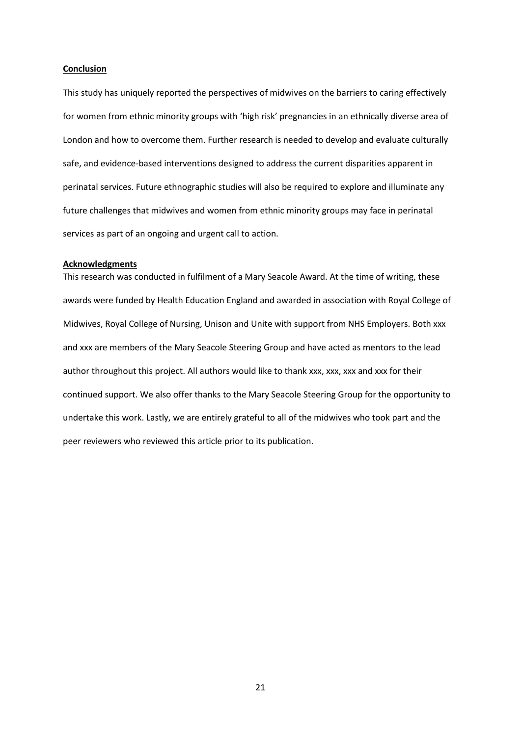#### **Conclusion**

This study has uniquely reported the perspectives of midwives on the barriers to caring effectively for women from ethnic minority groups with 'high risk' pregnancies in an ethnically diverse area of London and how to overcome them. Further research is needed to develop and evaluate culturally safe, and evidence-based interventions designed to address the current disparities apparent in perinatal services. Future ethnographic studies will also be required to explore and illuminate any future challenges that midwives and women from ethnic minority groups may face in perinatal services as part of an ongoing and urgent call to action.

#### **Acknowledgments**

This research was conducted in fulfilment of a Mary Seacole Award. At the time of writing, these awards were funded by Health Education England and awarded in association with Royal College of Midwives, Royal College of Nursing, Unison and Unite with support from NHS Employers. Both xxx and xxx are members of the Mary Seacole Steering Group and have acted as mentors to the lead author throughout this project. All authors would like to thank xxx, xxx, xxx and xxx for their continued support. We also offer thanks to the Mary Seacole Steering Group for the opportunity to undertake this work. Lastly, we are entirely grateful to all of the midwives who took part and the peer reviewers who reviewed this article prior to its publication.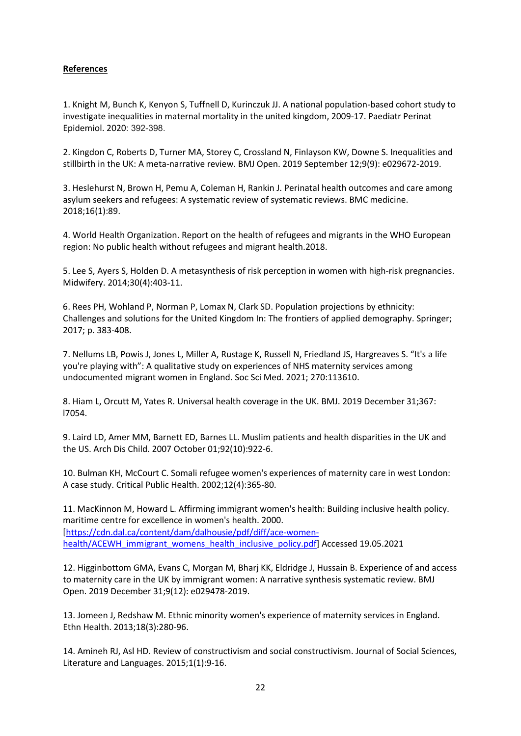## **References**

1. Knight M, Bunch K, Kenyon S, Tuffnell D, Kurinczuk JJ. A national population-based cohort study to investigate inequalities in maternal mortality in the united kingdom, 2009-17. Paediatr Perinat Epidemiol. 2020: 392-398.

2. Kingdon C, Roberts D, Turner MA, Storey C, Crossland N, Finlayson KW, Downe S. Inequalities and stillbirth in the UK: A meta-narrative review. BMJ Open. 2019 September 12;9(9): e029672-2019.

3. Heslehurst N, Brown H, Pemu A, Coleman H, Rankin J. Perinatal health outcomes and care among asylum seekers and refugees: A systematic review of systematic reviews. BMC medicine. 2018;16(1):89.

4. World Health Organization. Report on the health of refugees and migrants in the WHO European region: No public health without refugees and migrant health.2018.

5. Lee S, Ayers S, Holden D. A metasynthesis of risk perception in women with high-risk pregnancies. Midwifery. 2014;30(4):403-11.

6. Rees PH, Wohland P, Norman P, Lomax N, Clark SD. Population projections by ethnicity: Challenges and solutions for the United Kingdom In: The frontiers of applied demography. Springer; 2017; p. 383-408.

7. Nellums LB, Powis J, Jones L, Miller A, Rustage K, Russell N, Friedland JS, Hargreaves S. "It's a life you're playing with": A qualitative study on experiences of NHS maternity services among undocumented migrant women in England. Soc Sci Med. 2021; 270:113610.

8. Hiam L, Orcutt M, Yates R. Universal health coverage in the UK. BMJ. 2019 December 31;367: l7054.

9. Laird LD, Amer MM, Barnett ED, Barnes LL. Muslim patients and health disparities in the UK and the US. Arch Dis Child. 2007 October 01;92(10):922-6.

10. Bulman KH, McCourt C. Somali refugee women's experiences of maternity care in west London: A case study. Critical Public Health. 2002;12(4):365-80.

11. MacKinnon M, Howard L. Affirming immigrant women's health: Building inclusive health policy. maritime centre for excellence in women's health. 2000. [\[https://cdn.dal.ca/content/dam/dalhousie/pdf/diff/ace-women](https://cdn.dal.ca/content/dam/dalhousie/pdf/diff/ace-women-health/ACEWH_immigrant_womens_health_inclusive_policy.pdf)[health/ACEWH\\_immigrant\\_womens\\_health\\_inclusive\\_policy.pdf\]](https://cdn.dal.ca/content/dam/dalhousie/pdf/diff/ace-women-health/ACEWH_immigrant_womens_health_inclusive_policy.pdf) Accessed 19.05.2021

12. Higginbottom GMA, Evans C, Morgan M, Bharj KK, Eldridge J, Hussain B. Experience of and access to maternity care in the UK by immigrant women: A narrative synthesis systematic review. BMJ Open. 2019 December 31;9(12): e029478-2019.

13. Jomeen J, Redshaw M. Ethnic minority women's experience of maternity services in England. Ethn Health. 2013;18(3):280-96.

14. Amineh RJ, Asl HD. Review of constructivism and social constructivism. Journal of Social Sciences, Literature and Languages. 2015;1(1):9-16.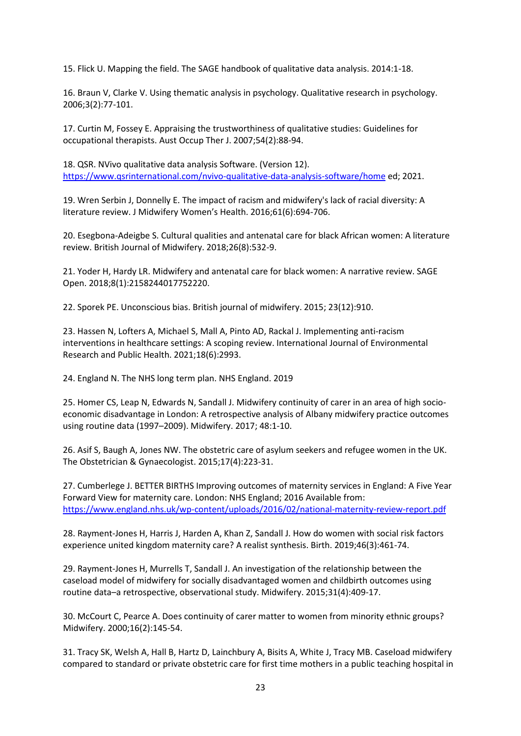15. Flick U. Mapping the field. The SAGE handbook of qualitative data analysis. 2014:1-18.

16. Braun V, Clarke V. Using thematic analysis in psychology. Qualitative research in psychology. 2006;3(2):77-101.

17. Curtin M, Fossey E. Appraising the trustworthiness of qualitative studies: Guidelines for occupational therapists. Aust Occup Ther J. 2007;54(2):88-94.

18. QSR. NVivo qualitative data analysis Software. (Version 12). <https://www.qsrinternational.com/nvivo-qualitative-data-analysis-software/home> ed; 2021.

19. Wren Serbin J, Donnelly E. The impact of racism and midwifery's lack of racial diversity: A literature review. J Midwifery Women's Health. 2016;61(6):694-706.

20. Esegbona-Adeigbe S. Cultural qualities and antenatal care for black African women: A literature review. British Journal of Midwifery. 2018;26(8):532-9.

21. Yoder H, Hardy LR. Midwifery and antenatal care for black women: A narrative review. SAGE Open. 2018;8(1):2158244017752220.

22. Sporek PE. Unconscious bias. British journal of midwifery. 2015; 23(12):910.

23. Hassen N, Lofters A, Michael S, Mall A, Pinto AD, Rackal J. Implementing anti-racism interventions in healthcare settings: A scoping review. International Journal of Environmental Research and Public Health. 2021;18(6):2993.

24. England N. The NHS long term plan. NHS England. 2019

25. Homer CS, Leap N, Edwards N, Sandall J. Midwifery continuity of carer in an area of high socioeconomic disadvantage in London: A retrospective analysis of Albany midwifery practice outcomes using routine data (1997–2009). Midwifery. 2017; 48:1-10.

26. Asif S, Baugh A, Jones NW. The obstetric care of asylum seekers and refugee women in the UK. The Obstetrician & Gynaecologist. 2015;17(4):223-31.

27. Cumberlege J. BETTER BIRTHS Improving outcomes of maternity services in England: A Five Year Forward View for maternity care. London: NHS England; 2016 Available from: <https://www.england.nhs.uk/wp-content/uploads/2016/02/national-maternity-review-report.pdf>

28. Rayment-Jones H, Harris J, Harden A, Khan Z, Sandall J. How do women with social risk factors experience united kingdom maternity care? A realist synthesis. Birth. 2019;46(3):461-74.

29. Rayment-Jones H, Murrells T, Sandall J. An investigation of the relationship between the caseload model of midwifery for socially disadvantaged women and childbirth outcomes using routine data–a retrospective, observational study. Midwifery. 2015;31(4):409-17.

30. McCourt C, Pearce A. Does continuity of carer matter to women from minority ethnic groups? Midwifery. 2000;16(2):145-54.

31. Tracy SK, Welsh A, Hall B, Hartz D, Lainchbury A, Bisits A, White J, Tracy MB. Caseload midwifery compared to standard or private obstetric care for first time mothers in a public teaching hospital in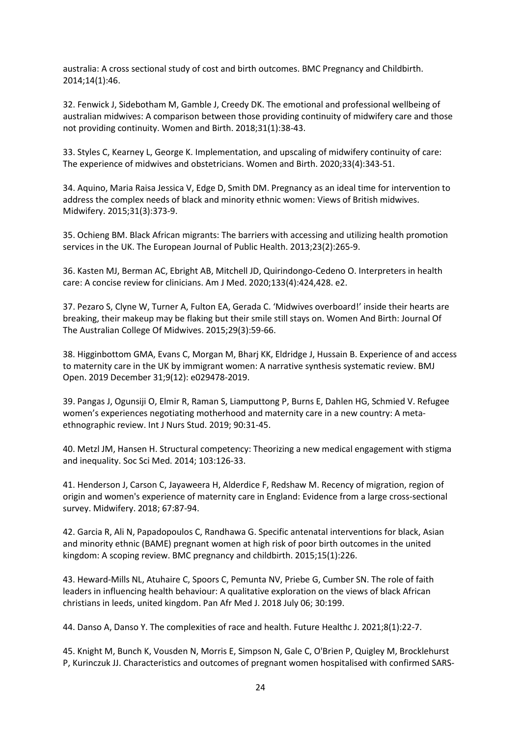australia: A cross sectional study of cost and birth outcomes. BMC Pregnancy and Childbirth. 2014;14(1):46.

32. Fenwick J, Sidebotham M, Gamble J, Creedy DK. The emotional and professional wellbeing of australian midwives: A comparison between those providing continuity of midwifery care and those not providing continuity. Women and Birth. 2018;31(1):38-43.

33. Styles C, Kearney L, George K. Implementation, and upscaling of midwifery continuity of care: The experience of midwives and obstetricians. Women and Birth. 2020;33(4):343-51.

34. Aquino, Maria Raisa Jessica V, Edge D, Smith DM. Pregnancy as an ideal time for intervention to address the complex needs of black and minority ethnic women: Views of British midwives. Midwifery. 2015;31(3):373-9.

35. Ochieng BM. Black African migrants: The barriers with accessing and utilizing health promotion services in the UK. The European Journal of Public Health. 2013;23(2):265-9.

36. Kasten MJ, Berman AC, Ebright AB, Mitchell JD, Quirindongo-Cedeno O. Interpreters in health care: A concise review for clinicians. Am J Med. 2020;133(4):424,428. e2.

37. Pezaro S, Clyne W, Turner A, Fulton EA, Gerada C. 'Midwives overboard!' inside their hearts are breaking, their makeup may be flaking but their smile still stays on. Women And Birth: Journal Of The Australian College Of Midwives. 2015;29(3):59-66.

38. Higginbottom GMA, Evans C, Morgan M, Bharj KK, Eldridge J, Hussain B. Experience of and access to maternity care in the UK by immigrant women: A narrative synthesis systematic review. BMJ Open. 2019 December 31;9(12): e029478-2019.

39. Pangas J, Ogunsiji O, Elmir R, Raman S, Liamputtong P, Burns E, Dahlen HG, Schmied V. Refugee women's experiences negotiating motherhood and maternity care in a new country: A metaethnographic review. Int J Nurs Stud. 2019; 90:31-45.

40. Metzl JM, Hansen H. Structural competency: Theorizing a new medical engagement with stigma and inequality. Soc Sci Med. 2014; 103:126-33.

41. Henderson J, Carson C, Jayaweera H, Alderdice F, Redshaw M. Recency of migration, region of origin and women's experience of maternity care in England: Evidence from a large cross-sectional survey. Midwifery. 2018; 67:87-94.

42. Garcia R, Ali N, Papadopoulos C, Randhawa G. Specific antenatal interventions for black, Asian and minority ethnic (BAME) pregnant women at high risk of poor birth outcomes in the united kingdom: A scoping review. BMC pregnancy and childbirth. 2015;15(1):226.

43. Heward-Mills NL, Atuhaire C, Spoors C, Pemunta NV, Priebe G, Cumber SN. The role of faith leaders in influencing health behaviour: A qualitative exploration on the views of black African christians in leeds, united kingdom. Pan Afr Med J. 2018 July 06; 30:199.

44. Danso A, Danso Y. The complexities of race and health. Future Healthc J. 2021;8(1):22-7.

45. Knight M, Bunch K, Vousden N, Morris E, Simpson N, Gale C, O'Brien P, Quigley M, Brocklehurst P, Kurinczuk JJ. Characteristics and outcomes of pregnant women hospitalised with confirmed SARS-